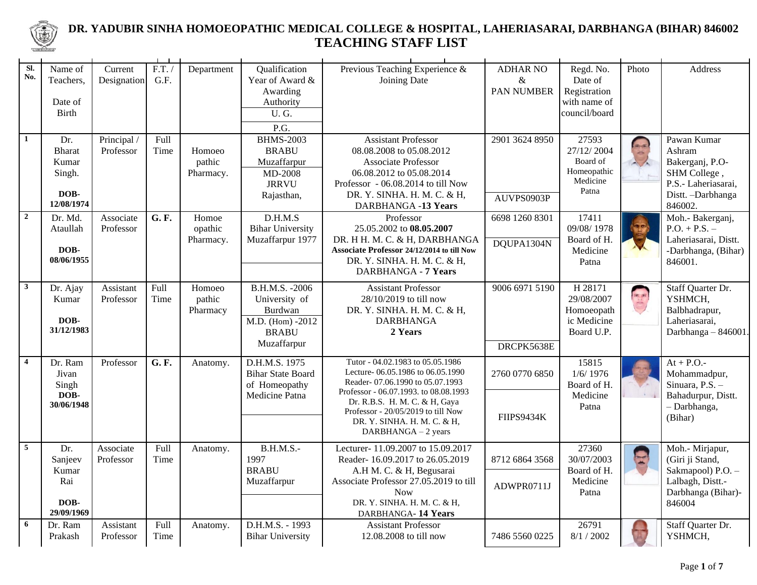

## **DR. YADUBIR SINHA HOMOEOPATHIC MEDICAL COLLEGE & HOSPITAL, LAHERIASARAI, DARBHANGA (BIHAR) 846002 TEACHING STAFF LIST**

| SI.<br>No.     | Name of<br>Teachers.<br>Date of<br><b>Birth</b>               | Current<br>Designation   | $\overline{F.T.}$<br>G.F. | Department                    | Qualification<br>Year of Award &<br>Awarding<br>Authority<br><b>U.G.</b><br>$\overline{P.G.}$    | Previous Teaching Experience &<br>Joining Date                                                                                                                                                                                                                                | <b>ADHAR NO</b><br>&<br>PAN NUMBER | Regd. No.<br>Date of<br>Registration<br>with name of<br>council/board | Photo           | <b>Address</b>                                                                                                   |
|----------------|---------------------------------------------------------------|--------------------------|---------------------------|-------------------------------|--------------------------------------------------------------------------------------------------|-------------------------------------------------------------------------------------------------------------------------------------------------------------------------------------------------------------------------------------------------------------------------------|------------------------------------|-----------------------------------------------------------------------|-----------------|------------------------------------------------------------------------------------------------------------------|
| $\overline{1}$ | Dr.<br><b>Bharat</b><br>Kumar<br>Singh.<br>DOB-<br>12/08/1974 | Principal /<br>Professor | Full<br>Time              | Homoeo<br>pathic<br>Pharmacy. | <b>BHMS-2003</b><br><b>BRABU</b><br>Muzaffarpur<br>MD-2008<br><b>JRRVU</b><br>Rajasthan,         | <b>Assistant Professor</b><br>08.08.2008 to 05.08.2012<br>Associate Professor<br>06.08.2012 to 05.08.2014<br>Professor - 06.08.2014 to till Now<br>DR. Y. SINHA. H. M. C. & H.<br>DARBHANGA -13 Years                                                                         | 2901 3624 8950<br>AUVPS0903P       | 27593<br>27/12/2004<br>Board of<br>Homeopathic<br>Medicine<br>Patna   | A<br>$\ddot{C}$ | Pawan Kumar<br>Ashram<br>Bakerganj, P.O-<br>SHM College,<br>P.S.- Laheriasarai,<br>Distt. - Darbhanga<br>846002. |
| $\overline{2}$ | Dr. Md.<br>Ataullah<br>DOB-<br>08/06/1955                     | Associate<br>Professor   | G. F.                     | Homoe<br>opathic<br>Pharmacy. | D.H.M.S<br><b>Bihar University</b><br>Muzaffarpur 1977                                           | Professor<br>25.05.2002 to 08.05.2007<br>DR. H H. M. C. & H, DARBHANGA<br>Associate Professor 24/12/2014 to till Now<br>DR. Y. SINHA. H. M. C. & H.<br><b>DARBHANGA - 7 Years</b>                                                                                             | 6698 1260 8301<br>DQUPA1304N       | 17411<br>09/08/1978<br>Board of H.<br>Medicine<br>Patna               |                 | Moh.- Bakerganj,<br>$P.O. + P.S. -$<br>Laheriasarai, Distt.<br>-Darbhanga, (Bihar)<br>846001.                    |
| $\mathbf{3}$   | Dr. Ajay<br>Kumar<br>DOB-<br>31/12/1983                       | Assistant<br>Professor   | Full<br>Time              | Homoeo<br>pathic<br>Pharmacy  | B.H.M.S. -2006<br>University of<br>Burdwan<br>$M.D. (Hom) - 2012$<br><b>BRABU</b><br>Muzaffarpur | <b>Assistant Professor</b><br>28/10/2019 to till now<br>DR. Y. SINHA. H. M. C. & H.<br><b>DARBHANGA</b><br>2 Years                                                                                                                                                            | 9006 6971 5190<br>DRCPK5638E       | H 28171<br>29/08/2007<br>Homoeopath<br>ic Medicine<br>Board U.P.      |                 | Staff Quarter Dr.<br>YSHMCH,<br>Balbhadrapur,<br>Laheriasarai,<br>Darbhanga - 846001.                            |
| $\overline{4}$ | Dr. Ram<br>Jivan<br>Singh<br>DOB-<br>30/06/1948               | Professor                | G. F.                     | Anatomy.                      | D.H.M.S. 1975<br><b>Bihar State Board</b><br>of Homeopathy<br>Medicine Patna                     | Tutor - 04.02.1983 to 05.05.1986<br>Lecture-06.05.1986 to 06.05.1990<br>Reader-07.06.1990 to 05.07.1993<br>Professor - 06.07.1993. to 08.08.1993<br>Dr. R.B.S. H. M. C. & H. Gaya<br>Professor - 20/05/2019 to till Now<br>DR. Y. SINHA. H. M. C. & H.<br>DARBHANGA - 2 years | 2760 0770 6850<br>FIIPS9434K       | 15815<br>1/6/1976<br>Board of H.<br>Medicine<br>Patna                 |                 | $At + P.O.$<br>Mohammadpur,<br>Sinuara, P.S. -<br>Bahadurpur, Distt.<br>- Darbhanga,<br>(Bihar)                  |
| $\overline{5}$ | Dr.<br>Sanjeev<br>Kumar<br>Rai<br>DOB-<br>29/09/1969          | Associate<br>Professor   | Full<br>Time              | Anatomy.                      | <b>B.H.M.S.-</b><br>1997<br><b>BRABU</b><br>Muzaffarpur                                          | Lecturer-11.09.2007 to 15.09.2017<br>Reader-16.09.2017 to 26.05.2019<br>A.H M. C. & H, Begusarai<br>Associate Professor 27.05.2019 to till<br><b>Now</b><br>DR. Y. SINHA. H. M. C. & H.<br>DARBHANGA-14 Years                                                                 | 8712 6864 3568<br>ADWPR0711J       | 27360<br>30/07/2003<br>Board of H.<br>Medicine<br>Patna               | $\blacksquare$  | Moh.- Mirjapur,<br>(Giri ji Stand,<br>Sakmapool) P.O. -<br>Lalbagh, Distt.-<br>Darbhanga (Bihar)-<br>846004      |
| 6              | Dr. Ram<br>Prakash                                            | Assistant<br>Professor   | Full<br>Time              | Anatomy.                      | D.H.M.S. - 1993<br><b>Bihar University</b>                                                       | <b>Assistant Professor</b><br>12.08.2008 to till now                                                                                                                                                                                                                          | 7486 5560 0225                     | 26791<br>8/1 / 2002                                                   |                 | Staff Quarter Dr.<br>YSHMCH,                                                                                     |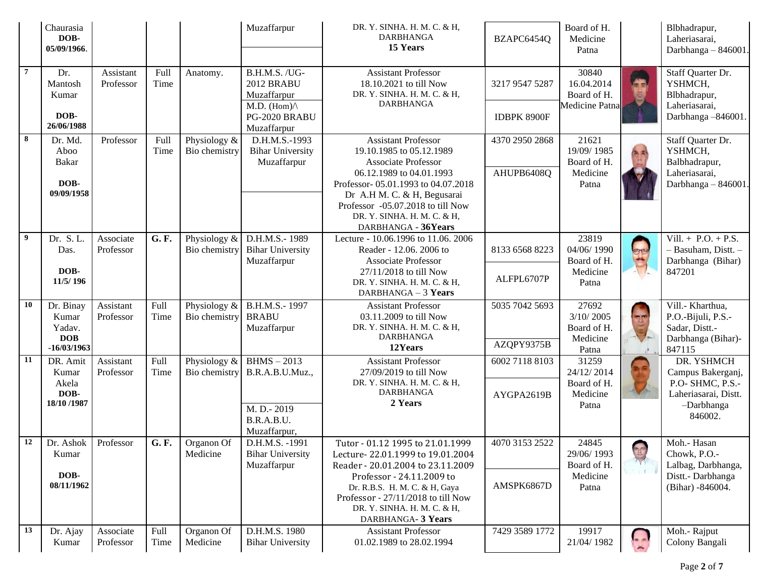|                | Chaurasia<br>DOB-<br>05/09/1966.                            |                        |              |                               | Muzaffarpur                                               | DR. Y. SINHA. H. M. C. & H.<br><b>DARBHANGA</b><br>15 Years                                                                                                                                | BZAPC6454Q                   | Board of H.<br>Medicine<br>Patna                       |               | Blbhadrapur,<br>Laheriasarai,<br>Darbhanga - 846001                                      |
|----------------|-------------------------------------------------------------|------------------------|--------------|-------------------------------|-----------------------------------------------------------|--------------------------------------------------------------------------------------------------------------------------------------------------------------------------------------------|------------------------------|--------------------------------------------------------|---------------|------------------------------------------------------------------------------------------|
| $\overline{7}$ | Dr.<br>Mantosh<br>Kumar                                     | Assistant<br>Professor | Full<br>Time | Anatomy.                      | <b>B.H.M.S. /UG-</b><br><b>2012 BRABU</b><br>Muzaffarpur  | <b>Assistant Professor</b><br>18.10.2021 to till Now<br>DR. Y. SINHA. H. M. C. & H,                                                                                                        | 3217 9547 5287               | 30840<br>16.04.2014<br>Board of H.                     |               | Staff Quarter Dr.<br>YSHMCH,<br>Blbhadrapur,                                             |
|                | DOB-<br>26/06/1988                                          |                        |              |                               | M.D. (Hom) $\wedge$<br>PG-2020 BRABU<br>Muzaffarpur       | <b>DARBHANGA</b>                                                                                                                                                                           | <b>IDBPK 8900F</b>           | Medicine Patna                                         |               | Laheriasarai,<br>Darbhanga -846001                                                       |
| 8              | Dr. Md.<br>Aboo<br><b>Bakar</b>                             | Professor              | Full<br>Time | Physiology &<br>Bio chemistry | D.H.M.S.-1993<br><b>Bihar University</b><br>Muzaffarpur   | <b>Assistant Professor</b><br>19.10.1985 to 05.12.1989<br><b>Associate Professor</b><br>06.12.1989 to 04.01.1993                                                                           | 4370 2950 2868<br>AHUPB6408Q | 21621<br>19/09/1985<br>Board of H.<br>Medicine         |               | Staff Quarter Dr.<br>YSHMCH,<br>Balbhadrapur,<br>Laheriasarai,                           |
|                | DOB-<br>09/09/1958                                          |                        |              |                               |                                                           | Professor-05.01.1993 to 04.07.2018<br>Dr A.H M. C. & H, Begusarai<br>Professor -05.07.2018 to till Now<br>DR. Y. SINHA. H. M. C. & H,<br>DARBHANGA - 36Years                               |                              | Patna                                                  |               | Darbhanga - 846001                                                                       |
| 9              | Dr. S.L<br>Das.                                             | Associate<br>Professor | G. F.        | Physiology &<br>Bio chemistry | D.H.M.S.-1989<br><b>Bihar University</b><br>Muzaffarpur   | Lecture - 10.06.1996 to 11.06.2006<br>Reader - 12.06. 2006 to<br><b>Associate Professor</b>                                                                                                | 8133 6568 8223               | 23819<br>04/06/1990<br>Board of H.                     | $\neg$        | Vill. + $P.O. + P.S.$<br>- Basuham, Distt. -<br>Darbhanga (Bihar)                        |
|                | DOB-<br>11/5/196                                            |                        |              |                               |                                                           | 27/11/2018 to till Now<br>DR. Y. SINHA. H. M. C. & H.<br>DARBHANGA $-3$ Years                                                                                                              | ALFPL6707P                   | Medicine<br>Patna                                      |               | 847201                                                                                   |
| 10             | Dr. Binay<br>Kumar<br>Yadav.<br><b>DOB</b><br>$-16/03/1963$ | Assistant<br>Professor | Full<br>Time | Physiology &<br>Bio chemistry | B.H.M.S.-1997<br><b>BRABU</b><br>Muzaffarpur              | <b>Assistant Professor</b><br>03.11.2009 to till Now<br>DR. Y. SINHA. H. M. C. & H.<br><b>DARBHANGA</b><br>12Years                                                                         | 5035 7042 5693<br>AZQPY9375B | 27692<br>3/10/2005<br>Board of H.<br>Medicine<br>Patna | 水             | Vill.- Kharthua,<br>P.O.-Bijuli, P.S.-<br>Sadar, Distt.-<br>Darbhanga (Bihar)-<br>847115 |
| 11             | DR. Amit<br>Kumar                                           | Assistant<br>Professor | Full<br>Time | Physiology &<br>Bio chemistry | $BHMS - 2013$<br>B.R.A.B.U.Muz.,                          | <b>Assistant Professor</b><br>27/09/2019 to till Now                                                                                                                                       | 6002 7118 8103               | 31259<br>24/12/2014                                    |               | DR. YSHMCH<br>Campus Bakerganj,                                                          |
|                | Akela<br>DOB-<br>18/10 /1987                                |                        |              |                               | M. D.-2019<br>B.R.A.B.U.                                  | DR. Y. SINHA. H. M. C. & H,<br><b>DARBHANGA</b><br>2 Years                                                                                                                                 | AYGPA2619B                   | Board of H.<br>Medicine<br>Patna                       |               | P.O- SHMC, P.S.-<br>Laheriasarai, Distt.<br>-Darbhanga<br>846002.                        |
| 12             | Dr. Ashok<br>Kumar                                          | Professor              | G. F.        | Organon Of<br>Medicine        | Muzaffarpur,<br>D.H.M.S. -1991<br><b>Bihar University</b> | Tutor - 01.12 1995 to 21.01.1999<br>Lecture-22.01.1999 to 19.01.2004                                                                                                                       | 4070 3153 2522               | 24845<br>29/06/1993                                    | <b>Provid</b> | Moh.- Hasan<br>Chowk, P.O.-                                                              |
|                | DOB-<br>08/11/1962                                          |                        |              |                               | Muzaffarpur                                               | Reader - 20.01.2004 to 23.11.2009<br>Professor - 24.11.2009 to<br>Dr. R.B.S. H. M. C. & H, Gaya<br>Professor - 27/11/2018 to till Now<br>DR. Y. SINHA. H. M. C. & H,<br>DARBHANGA- 3 Years | AMSPK6867D                   | Board of H.<br>Medicine<br>Patna                       |               | Lalbag, Darbhanga,<br>Distt.- Darbhanga<br>(Bihar) -846004.                              |
| 13             | Dr. Ajay<br>Kumar                                           | Associate<br>Professor | Full<br>Time | Organon Of<br>Medicine        | D.H.M.S. 1980<br><b>Bihar University</b>                  | <b>Assistant Professor</b><br>01.02.1989 to 28.02.1994                                                                                                                                     | 7429 3589 1772               | 19917<br>21/04/1982                                    | $\sqrt{2}$    | Moh.- Rajput<br>Colony Bangali                                                           |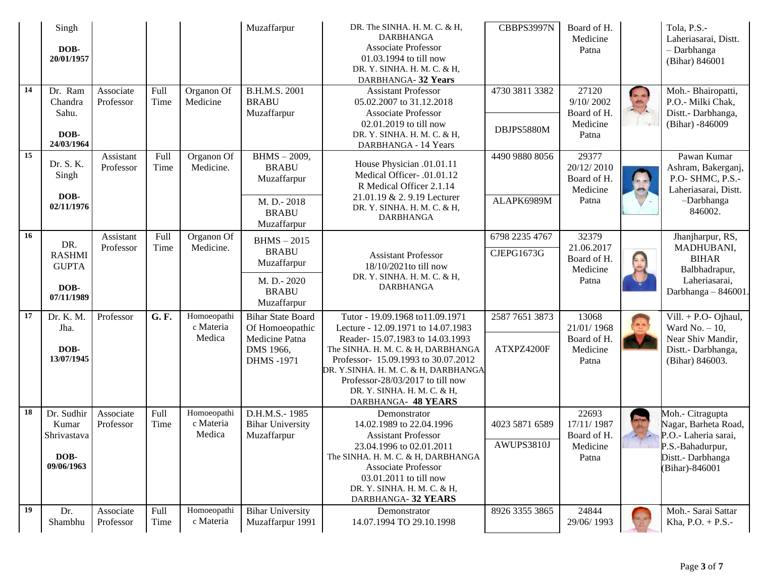| 14 | Singh<br>DOB-<br>20/01/1957<br>Dr. Ram                     | Associate              | Full         | Organon Of                         | Muzaffarpur<br>B.H.M.S. 2001                                                                    | DR. The SINHA, H. M. C. & H.<br><b>DARBHANGA</b><br><b>Associate Professor</b><br>01.03.1994 to till now<br>DR. Y. SINHA. H. M. C. & H,<br>DARBHANGA- 32 Years<br><b>Assistant Professor</b>                                                                                                                           | CBBPS3997N<br>4730 3811 3382 | Board of H.<br>Medicine<br>Patna<br>27120               |                                             | Tola, P.S.-<br>Laheriasarai, Distt.<br>- Darbhanga<br>(Bihar) 846001<br>Moh.- Bhairopatti,                                  |
|----|------------------------------------------------------------|------------------------|--------------|------------------------------------|-------------------------------------------------------------------------------------------------|------------------------------------------------------------------------------------------------------------------------------------------------------------------------------------------------------------------------------------------------------------------------------------------------------------------------|------------------------------|---------------------------------------------------------|---------------------------------------------|-----------------------------------------------------------------------------------------------------------------------------|
|    | Chandra<br>Sahu.<br>DOB-<br>24/03/1964                     | Professor              | Time         | Medicine                           | <b>BRABU</b><br>Muzaffarpur                                                                     | 05.02.2007 to 31.12.2018<br><b>Associate Professor</b><br>02.01.2019 to till now<br>DR. Y. SINHA. H. M. C. & H.<br>DARBHANGA - 14 Years                                                                                                                                                                                | DBJPS5880M                   | 9/10/2002<br>Board of H.<br>Medicine<br>Patna           | $\begin{pmatrix} 1 \\ 0 \\ 1 \end{pmatrix}$ | P.O.- Milki Chak,<br>Distt.- Darbhanga,<br>(Bihar) -846009                                                                  |
| 15 | Dr. S. K.<br>Singh<br>DOB-<br>02/11/1976                   | Assistant<br>Professor | Full<br>Time | Organon Of<br>Medicine.            | $BHMS - 2009$ ,<br><b>BRABU</b><br>Muzaffarpur<br>M. D.-2018<br><b>BRABU</b><br>Muzaffarpur     | House Physician .01.01.11<br>Medical Officer- .01.01.12<br>R Medical Officer 2.1.14<br>21.01.19 & 2.9.19 Lecturer<br>DR. Y. SINHA. H. M. C. & H,<br>DARBHANGA                                                                                                                                                          | 4490 9880 8056<br>ALAPK6989M | 29377<br>20/12/2010<br>Board of H.<br>Medicine<br>Patna | $\pi$                                       | Pawan Kumar<br>Ashram, Bakerganj,<br>P.O- SHMC, P.S.-<br>Laheriasarai, Distt.<br>-Darbhanga<br>846002.                      |
| 16 | DR.<br><b>RASHMI</b><br><b>GUPTA</b><br>DOB-<br>07/11/1989 | Assistant<br>Professor | Full<br>Time | Organon Of<br>Medicine.            | $BHMS - 2015$<br><b>BRABU</b><br>Muzaffarpur<br>M. D.-2020<br><b>BRABU</b><br>Muzaffarpur       | <b>Assistant Professor</b><br>18/10/2021 to till now<br>DR. Y. SINHA. H. M. C. & H,<br><b>DARBHANGA</b>                                                                                                                                                                                                                | 6798 2235 4767<br>CJEPG1673G | 32379<br>21.06.2017<br>Board of H.<br>Medicine<br>Patna |                                             | Jhanjharpur, RS,<br>MADHUBANI,<br><b>BIHAR</b><br>Balbhadrapur,<br>Laheriasarai,<br>Darbhanga - 846001.                     |
| 17 | Dr. K. M.<br>Jha.<br>DOB-<br>13/07/1945                    | Professor              | G. F.        | Homoeopathi<br>c Materia<br>Medica | <b>Bihar State Board</b><br>Of Homoeopathic<br>Medicine Patna<br>DMS 1966,<br><b>DHMS</b> -1971 | Tutor - 19.09.1968 to11.09.1971<br>Lecture - 12.09.1971 to 14.07.1983<br>Reader-15.07.1983 to 14.03.1993<br>The SINHA. H. M. C. & H, DARBHANGA<br>Professor-15.09.1993 to 30.07.2012<br>DR. Y.SINHA. H. M. C. & H, DARBHANGA<br>Professor-28/03/2017 to till now<br>DR. Y. SINHA. H. M. C. & H.<br>DARBHANGA- 48 YEARS | 2587 7651 3873<br>ATXPZ4200F | 13068<br>21/01/1968<br>Board of H.<br>Medicine<br>Patna | $\Rightarrow$                               | $\overline{\text{Vill}}$ . + P.O- Ojhaul,<br>Ward No. $-10$ ,<br>Near Shiv Mandir,<br>Distt.- Darbhanga,<br>(Bihar) 846003. |
| 18 | Dr. Sudhir<br>Kumar<br>Shrivastava<br>DOB-<br>09/06/1963   | Associate<br>Professor | Full<br>Time | Homoeopathi<br>c Materia<br>Medica | D.H.M.S.-1985<br><b>Bihar University</b><br>Muzaffarpur                                         | Demonstrator<br>14.02.1989 to 22.04.1996<br><b>Assistant Professor</b><br>23.04.1996 to 02.01.2011<br>The SINHA. H. M. C. & H, DARBHANGA<br><b>Associate Professor</b><br>03.01.2011 to till now<br>DR. Y. SINHA. H. M. C. & H,<br>DARBHANGA-32 YEARS                                                                  | 4023 5871 6589<br>AWUPS3810J | 22693<br>17/11/1987<br>Board of H.<br>Medicine<br>Patna |                                             | Moh.- Citragupta<br>Nagar, Barheta Road,<br>P.O.- Laheria sarai,<br>P.S.-Bahadurpur,<br>Distt.- Darbhanga<br>(Bihar)-846001 |
| 19 | Dr.<br>Shambhu                                             | Associate<br>Professor | Full<br>Time | Homoeopathi<br>c Materia           | <b>Bihar University</b><br>Muzaffarpur 1991                                                     | Demonstrator<br>14.07.1994 TO 29.10.1998                                                                                                                                                                                                                                                                               | 8926 3355 3865               | 24844<br>29/06/1993                                     |                                             | Moh.- Sarai Sattar<br>Kha, $P.O. + P.S. -$                                                                                  |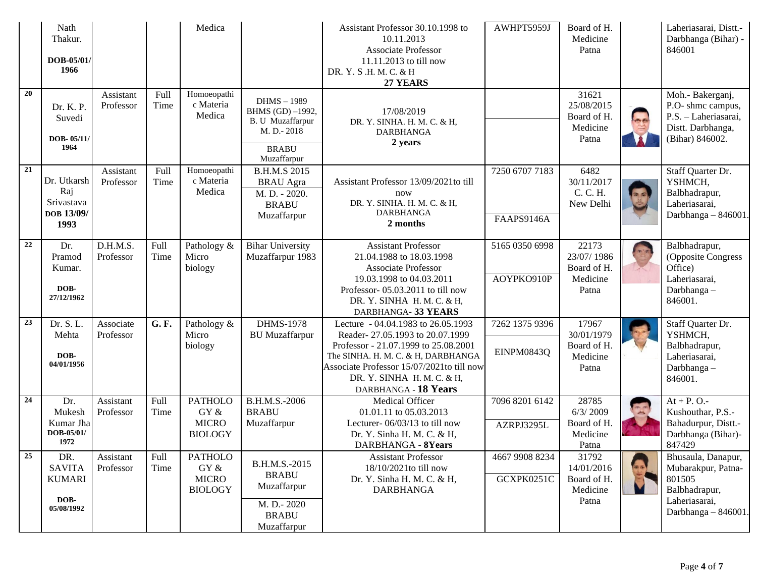|    | Nath<br>Thakur.<br>DOB-05/01/<br>1966                       |                        |              | Medica                                                   |                                                                                                         | Assistant Professor 30.10.1998 to<br>10.11.2013<br>Associate Professor<br>11.11.2013 to till now<br>DR. Y. S .H. M. C. & H<br>27 YEARS                                                                                                                  | AWHPT5959J                   | Board of H.<br>Medicine<br>Patna                        |          | Laheriasarai, Distt.-<br>Darbhanga (Bihar) -<br>846001                                                      |
|----|-------------------------------------------------------------|------------------------|--------------|----------------------------------------------------------|---------------------------------------------------------------------------------------------------------|---------------------------------------------------------------------------------------------------------------------------------------------------------------------------------------------------------------------------------------------------------|------------------------------|---------------------------------------------------------|----------|-------------------------------------------------------------------------------------------------------------|
| 20 | Dr. K. P.<br>Suvedi<br>DOB-05/11/<br>1964                   | Assistant<br>Professor | Full<br>Time | Homoeopathi<br>c Materia<br>Medica                       | <b>DHMS</b> - 1989<br>BHMS (GD) -1992,<br>B. U Muzaffarpur<br>M. D.-2018<br><b>BRABU</b><br>Muzaffarpur | 17/08/2019<br>DR. Y. SINHA. H. M. C. & H.<br><b>DARBHANGA</b><br>2 years                                                                                                                                                                                |                              | 31621<br>25/08/2015<br>Board of H.<br>Medicine<br>Patna |          | Moh.- Bakerganj,<br>P.O- shmc campus,<br>P.S. - Laheriasarai,<br>Distt. Darbhanga,<br>(Bihar) 846002.       |
| 21 | Dr. Utkarsh<br>Raj<br>Srivastava<br>DOB 13/09/<br>1993      | Assistant<br>Professor | Full<br>Time | Homoeopathi<br>c Materia<br>Medica                       | B.H.M.S 2015<br><b>BRAU</b> Agra<br>M. D. - 2020.<br><b>BRABU</b><br>Muzaffarpur                        | Assistant Professor 13/09/2021 to till<br>now<br>DR. Y. SINHA. H. M. C. & H,<br><b>DARBHANGA</b><br>2 months                                                                                                                                            | 7250 6707 7183<br>FAAPS9146A | 6482<br>30/11/2017<br>C. C. H.<br>New Delhi             |          | Staff Quarter Dr.<br>YSHMCH,<br>Balbhadrapur,<br>Laheriasarai,<br>Darbhanga - 846001.                       |
| 22 | Dr.<br>Pramod<br>Kumar.<br>DOB-<br>27/12/1962               | D.H.M.S.<br>Professor  | Full<br>Time | Pathology &<br>Micro<br>biology                          | <b>Bihar University</b><br>Muzaffarpur 1983                                                             | <b>Assistant Professor</b><br>21.04.1988 to 18.03.1998<br><b>Associate Professor</b><br>19.03.1998 to 04.03.2011<br>Professor-05.03.2011 to till now<br>DR. Y. SINHA H. M. C. & H.<br>DARBHANGA-33 YEARS                                                | 5165 0350 6998<br>AOYPKO910P | 22173<br>23/07/1986<br>Board of H.<br>Medicine<br>Patna | <b>A</b> | Balbhadrapur,<br>(Opposite Congress<br>Office)<br>Laheriasarai,<br>Darbhanga-<br>846001.                    |
| 23 | Dr. S. L.<br>Mehta<br>DOB-<br>04/01/1956                    | Associate<br>Professor | G. F.        | Pathology &<br>Micro<br>biology                          | <b>DHMS-1978</b><br><b>BU</b> Muzaffarpur                                                               | Lecture - 04.04.1983 to 26.05.1993<br>Reader-27.05.1993 to 20.07.1999<br>Professor - 21.07.1999 to 25.08.2001<br>The SINHA. H. M. C. & H, DARBHANGA<br>Associate Professor 15/07/2021 to till now<br>DR. Y. SINHA H. M. C. & H.<br>DARBHANGA - 18 Years | 7262 1375 9396<br>EINPM0843Q | 17967<br>30/01/1979<br>Board of H.<br>Medicine<br>Patna |          | Staff Quarter Dr.<br>YSHMCH,<br>Balbhadrapur,<br>Laheriasarai,<br>Darbhanga-<br>846001.                     |
| 24 | Dr.<br>Mukesh<br>Kumar Jha<br>DOB-05/01/<br>1972            | Assistant<br>Professor | Full<br>Time | <b>PATHOLO</b><br>GY &<br><b>MICRO</b><br><b>BIOLOGY</b> | B.H.M.S.-2006<br><b>BRABU</b><br>Muzaffarpur                                                            | Medical Officer<br>01.01.11 to 05.03.2013<br>Lecturer-06/03/13 to till now<br>Dr. Y. Sinha H. M. C. & H,<br><b>DARBHANGA - 8Years</b>                                                                                                                   | 7096 8201 6142<br>AZRPJ3295L | 28785<br>6/3/2009<br>Board of H.<br>Medicine<br>Patna   |          | $At + P. O. -$<br>Kushouthar, P.S.-<br>Bahadurpur, Distt.-<br>Darbhanga (Bihar)-<br>847429                  |
| 25 | DR.<br><b>SAVITA</b><br><b>KUMARI</b><br>DOB-<br>05/08/1992 | Assistant<br>Professor | Full<br>Time | <b>PATHOLO</b><br>GY &<br><b>MICRO</b><br><b>BIOLOGY</b> | B.H.M.S.-2015<br><b>BRABU</b><br>Muzaffarpur<br>M. D. - 2020<br><b>BRABU</b><br>Muzaffarpur             | <b>Assistant Professor</b><br>18/10/2021 to till now<br>Dr. Y. Sinha H. M. C. & H.<br><b>DARBHANGA</b>                                                                                                                                                  | 4667 9908 8234<br>GCXPK0251C | 31792<br>14/01/2016<br>Board of H.<br>Medicine<br>Patna |          | Bhusaula, Danapur,<br>Mubarakpur, Patna-<br>801505<br>Balbhadrapur,<br>Laheriasarai,<br>Darbhanga - 846001. |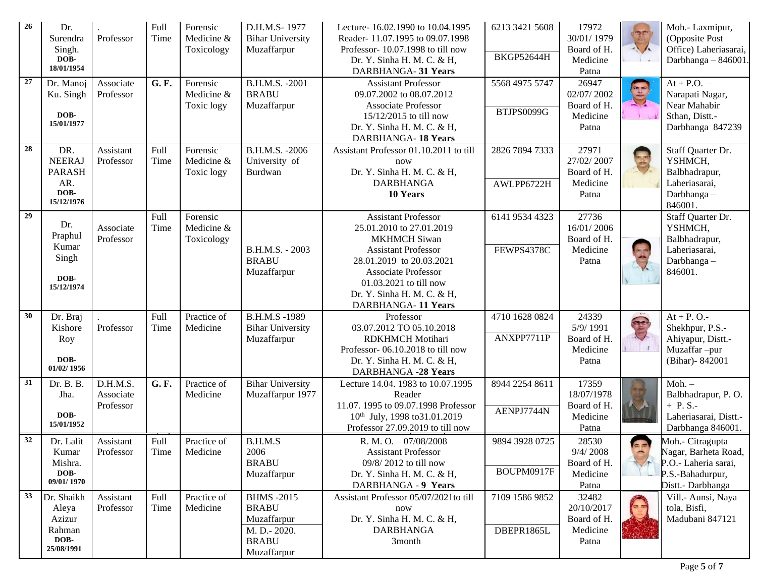| 26<br>27        | Dr.<br>Surendra<br>Singh.<br>DOB-<br>18/01/1954<br>Dr. Manoj       | Professor<br>Associate             | Full<br>Time<br>G. F. | Forensic<br>Medicine &<br>Toxicology<br>Forensic | D.H.M.S-1977<br><b>Bihar University</b><br>Muzaffarpur<br>B.H.M.S. - 2001                      | Lecture-16.02.1990 to 10.04.1995<br>Reader-11.07.1995 to 09.07.1998<br>Professor-10.07.1998 to till now<br>Dr. Y. Sinha H. M. C. & H.<br>DARBHANGA- 31 Years<br><b>Assistant Professor</b>                                                          | 6213 3421 5608<br><b>BKGP52644H</b><br>5568 4975 5747 | 17972<br>30/01/1979<br>Board of H.<br>Medicine<br>Patna<br>26947 |                                             | Moh.- Laxmipur,<br>(Opposite Post<br>Office) Laheriasarai,<br>Darbhanga - 846001.<br>$At + P.O.$ -        |
|-----------------|--------------------------------------------------------------------|------------------------------------|-----------------------|--------------------------------------------------|------------------------------------------------------------------------------------------------|-----------------------------------------------------------------------------------------------------------------------------------------------------------------------------------------------------------------------------------------------------|-------------------------------------------------------|------------------------------------------------------------------|---------------------------------------------|-----------------------------------------------------------------------------------------------------------|
|                 | Ku. Singh<br>DOB-<br>15/01/1977                                    | Professor                          |                       | Medicine &<br>Toxic logy                         | <b>BRABU</b><br>Muzaffarpur                                                                    | 09.07.2002 to 08.07.2012<br><b>Associate Professor</b><br>15/12/2015 to till now<br>Dr. Y. Sinha H. M. C. & H.<br>DARBHANGA-18 Years                                                                                                                | <b>BTJPS0099G</b>                                     | 02/07/2002<br>Board of H.<br>Medicine<br>Patna                   | $\mathcal{N}$                               | Narapati Nagar,<br>Near Mahabir<br>Sthan, Distt.-<br>Darbhanga 847239                                     |
| 28              | DR.<br><b>NEERAJ</b><br><b>PARASH</b><br>AR.<br>DOB-<br>15/12/1976 | Assistant<br>Professor             | Full<br>Time          | Forensic<br>Medicine &<br>Toxic logy             | B.H.M.S. -2006<br>University of<br>Burdwan                                                     | Assistant Professor 01.10.2011 to till<br>now<br>Dr. Y. Sinha H. M. C. & H.<br><b>DARBHANGA</b><br>10 Years                                                                                                                                         | 2826 7894 7333<br>AWLPP6722H                          | 27971<br>27/02/2007<br>Board of H.<br>Medicine<br>Patna          |                                             | Staff Quarter Dr.<br>YSHMCH,<br>Balbhadrapur,<br>Laheriasarai,<br>Darbhanga-<br>846001.                   |
| 29              | Dr.<br>Praphul<br>Kumar<br>Singh<br>DOB-<br>15/12/1974             | Associate<br>Professor             | Full<br>Time          | Forensic<br>Medicine &<br>Toxicology             | B.H.M.S. - 2003<br><b>BRABU</b><br>Muzaffarpur                                                 | <b>Assistant Professor</b><br>25.01.2010 to 27.01.2019<br><b>MKHMCH</b> Siwan<br><b>Assistant Professor</b><br>28.01.2019 to 20.03.2021<br><b>Associate Professor</b><br>01.03.2021 to till now<br>Dr. Y. Sinha H. M. C. & H.<br>DARBHANGA-11 Years | 6141 9534 4323<br>FEWPS4378C                          | 27736<br>16/01/2006<br>Board of H.<br>Medicine<br>Patna          | $\begin{pmatrix} 1 \\ 1 \\ 2 \end{pmatrix}$ | Staff Quarter Dr.<br>YSHMCH,<br>Balbhadrapur,<br>Laheriasarai,<br>Darbhanga-<br>846001.                   |
| 30              | Dr. Braj<br>Kishore<br>Roy<br>DOB-<br>01/02/1956                   | Professor                          | Full<br>Time          | Practice of<br>Medicine                          | B.H.M.S -1989<br><b>Bihar University</b><br>Muzaffarpur                                        | Professor<br>03.07.2012 TO 05.10.2018<br><b>RDKHMCH Motihari</b><br>Professor-06.10.2018 to till now<br>Dr. Y. Sinha H. M. C. & H,<br>DARBHANGA -28 Years                                                                                           | 4710 1628 0824<br>ANXPP7711P                          | 24339<br>5/9/1991<br>Board of H.<br>Medicine<br>Patna            |                                             | $At + P. O.$<br>Shekhpur, P.S.-<br>Ahiyapur, Distt.-<br>Muzaffar-pur<br>(Bihar) - 842001                  |
| 31              | Dr. B. B.<br>Jha.<br>DOB-<br>15/01/1952                            | D.H.M.S.<br>Associate<br>Professor | G. F.                 | Practice of<br>Medicine                          | <b>Bihar University</b><br>Muzaffarpur 1977                                                    | Lecture 14.04. 1983 to 10.07.1995<br>Reader<br>11.07. 1995 to 09.07.1998 Professor<br>10 <sup>th</sup> July, 1998 to 31.01.2019<br>Professor 27.09.2019 to till now                                                                                 | 8944 2254 8611<br>AENPJ7744N                          | 17359<br>18/07/1978<br>Board of H.<br>Medicine<br>Patna          |                                             | Moh. –<br>Balbhadrapur, P.O.<br>$+$ P. S.-<br>Laheriasarai, Distt.-<br>Darbhanga 846001.                  |
| $\overline{32}$ | Dr. Lalit<br>Kumar<br>Mishra.<br>DOB-<br>09/01/1970                | Assistant<br>Professor             | Full<br>Time          | Practice of<br>Medicine                          | B.H.M.S<br>2006<br><b>BRABU</b><br>Muzaffarpur                                                 | R. M. O. $-07/08/2008$<br><b>Assistant Professor</b><br>09/8/2012 to till now<br>Dr. Y. Sinha H. M. C. & H,<br>DARBHANGA - 9 Years                                                                                                                  | 9894 3928 0725<br>BOUPM0917F                          | 28530<br>9/4/2008<br>Board of H.<br>Medicine<br>Patna            |                                             | Moh.- Citragupta<br>Nagar, Barheta Road,<br>P.O.- Laheria sarai,<br>P.S.-Bahadurpur,<br>Distt.- Darbhanga |
| 33              | Dr. Shaikh<br>Aleya<br>Azizur<br>Rahman<br>DOB-<br>25/08/1991      | Assistant<br>Professor             | Full<br>Time          | Practice of<br>Medicine                          | <b>BHMS</b> -2015<br><b>BRABU</b><br>Muzaffarpur<br>M. D.-2020.<br><b>BRABU</b><br>Muzaffarpur | Assistant Professor 05/07/2021 to till<br>now<br>Dr. Y. Sinha H. M. C. & H,<br><b>DARBHANGA</b><br>3month                                                                                                                                           | 7109 1586 9852<br>DBEPR1865L                          | 32482<br>20/10/2017<br>Board of H.<br>Medicine<br>Patna          |                                             | Vill.- Aunsi, Naya<br>tola, Bisfi,<br>Madubani 847121                                                     |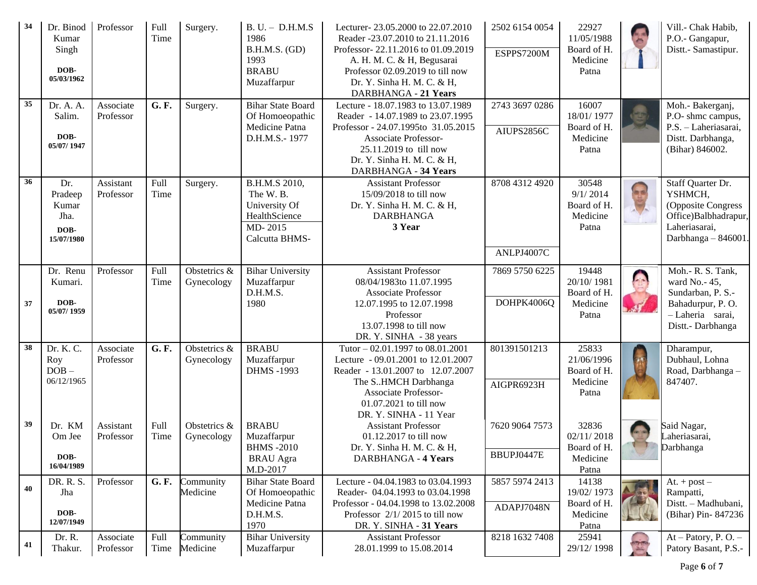| 34 | Dr. Binod<br>Kumar<br>Singh<br>DOB-<br>05/03/1962     | Professor              | <b>Full</b><br>Time | Surgery.                   | $B. U. - D.H.M.S$<br>1986<br><b>B.H.M.S. (GD)</b><br>1993<br><b>BRABU</b><br>Muzaffarpur | Lecturer-23.05.2000 to 22.07.2010<br>Reader -23.07.2010 to 21.11.2016<br>Professor-22.11.2016 to 01.09.2019<br>A. H. M. C. & H, Begusarai<br>Professor 02.09.2019 to till now<br>Dr. Y. Sinha H. M. C. & H.<br>DARBHANGA - 21 Years | 2502 6154 0054<br>ESPPS7200M | 22927<br>11/05/1988<br>Board of H.<br>Medicine<br>Patna |    | Vill.- Chak Habib,<br>P.O.- Gangapur,<br>Distt.- Samastipur.                                                          |
|----|-------------------------------------------------------|------------------------|---------------------|----------------------------|------------------------------------------------------------------------------------------|-------------------------------------------------------------------------------------------------------------------------------------------------------------------------------------------------------------------------------------|------------------------------|---------------------------------------------------------|----|-----------------------------------------------------------------------------------------------------------------------|
| 35 | Dr. A. A.<br>Salim.<br>DOB-<br>05/07/1947             | Associate<br>Professor | G. F.               | Surgery.                   | <b>Bihar State Board</b><br>Of Homoeopathic<br>Medicine Patna<br>D.H.M.S.-1977           | Lecture - 18.07.1983 to 13.07.1989<br>Reader - 14.07.1989 to 23.07.1995<br>Professor - 24.07.1995to 31.05.2015<br>Associate Professor-<br>25.11.2019 to till now<br>Dr. Y. Sinha H. M. C. & H.<br>DARBHANGA - 34 Years              | 2743 3697 0286<br>AIUPS2856C | 16007<br>18/01/1977<br>Board of H.<br>Medicine<br>Patna |    | Moh.- Bakerganj,<br>P.O- shmc campus,<br>P.S. - Laheriasarai,<br>Distt. Darbhanga,<br>(Bihar) 846002.                 |
| 36 | Dr.<br>Pradeep<br>Kumar<br>Jha.<br>DOB-<br>15/07/1980 | Assistant<br>Professor | Full<br>Time        | Surgery.                   | B.H.M.S 2010,<br>The W.B.<br>University Of<br>HealthScience<br>MD-2015<br>Calcutta BHMS- | <b>Assistant Professor</b><br>15/09/2018 to till now<br>Dr. Y. Sinha H. M. C. & H.<br><b>DARBHANGA</b><br>3 Year                                                                                                                    | 8708 4312 4920<br>ANLPJ4007C | 30548<br>9/1/2014<br>Board of H.<br>Medicine<br>Patna   | 日本 | Staff Quarter Dr.<br>YSHMCH,<br>(Opposite Congress<br>Office)Balbhadrapur,<br>Laheriasarai,<br>Darbhanga - 846001.    |
| 37 | Dr. Renu<br>Kumari.<br>DOB-<br>05/07/1959             | Professor              | Full<br>Time        | Obstetrics &<br>Gynecology | <b>Bihar University</b><br>Muzaffarpur<br>D.H.M.S.<br>1980                               | <b>Assistant Professor</b><br>08/04/1983to 11.07.1995<br><b>Associate Professor</b><br>12.07.1995 to 12.07.1998<br>Professor<br>13.07.1998 to till now<br>DR. Y. SINHA - 38 years                                                   | 7869 5750 6225<br>DOHPK4006Q | 19448<br>20/10/1981<br>Board of H.<br>Medicine<br>Patna | E. | Moh.- R. S. Tank,<br>ward No. - 45,<br>Sundarban, P. S.-<br>Bahadurpur, P.O.<br>- Laheria sarai,<br>Distt.- Darbhanga |
| 38 | Dr. K. C.<br>Roy<br>$DOB -$<br>06/12/1965             | Associate<br>Professor | G. F.               | Obstetrics &<br>Gynecology | <b>BRABU</b><br>Muzaffarpur<br><b>DHMS-1993</b>                                          | Tutor - 02.01.1997 to 08.01.2001<br>Lecture - 09.01.2001 to 12.01.2007<br>Reader - 13.01.2007 to 12.07.2007<br>The SHMCH Darbhanga<br>Associate Professor-<br>01.07.2021 to till now<br>DR. Y. SINHA - 11 Year                      | 801391501213<br>AIGPR6923H   | 25833<br>21/06/1996<br>Board of H.<br>Medicine<br>Patna |    | Dharampur,<br>Dubhaul, Lohna<br>Road, Darbhanga-<br>847407.                                                           |
| 39 | Dr. KM<br>Om Jee<br>DOB-<br>16/04/1989                | Assistant<br>Professor | Full<br>Time        | Obstetrics &<br>Gynecology | <b>BRABU</b><br>Muzaffarpur<br><b>BHMS</b> -2010<br><b>BRAU</b> Agra<br>M.D-2017         | <b>Assistant Professor</b><br>01.12.2017 to till now<br>Dr. Y. Sinha H. M. C. & H,<br>DARBHANGA - 4 Years                                                                                                                           | 7620 9064 7573<br>BBUPJ0447E | 32836<br>02/11/2018<br>Board of H.<br>Medicine<br>Patna |    | Said Nagar,<br>Laheriasarai,<br>Darbhanga                                                                             |
| 40 | DR. R. S.<br>Jha<br>DOB-<br>12/07/1949                | Professor              | G.F.                | Community<br>Medicine      | <b>Bihar State Board</b><br>Of Homoeopathic<br>Medicine Patna<br>D.H.M.S.<br>1970        | Lecture - 04.04.1983 to 03.04.1993<br>Reader-04.04.1993 to 03.04.1998<br>Professor - 04.04.1998 to 13.02.2008<br>Professor 2/1/2015 to till now<br>DR. Y. SINHA - 31 Years                                                          | 5857 5974 2413<br>ADAPJ7048N | 14138<br>19/02/1973<br>Board of H.<br>Medicine<br>Patna |    | At. $+$ post $-$<br>Rampatti,<br>Distt. - Madhubani,<br>(Bihar) Pin-847236                                            |
| 41 | Dr. R.<br>Thakur.                                     | Associate<br>Professor | Full<br>Time        | Community<br>Medicine      | <b>Bihar University</b><br>Muzaffarpur                                                   | <b>Assistant Professor</b><br>28.01.1999 to 15.08.2014                                                                                                                                                                              | 8218 1632 7408               | 25941<br>29/12/1998                                     |    | $At - Patory, P. O. -$<br>Patory Basant, P.S.-                                                                        |